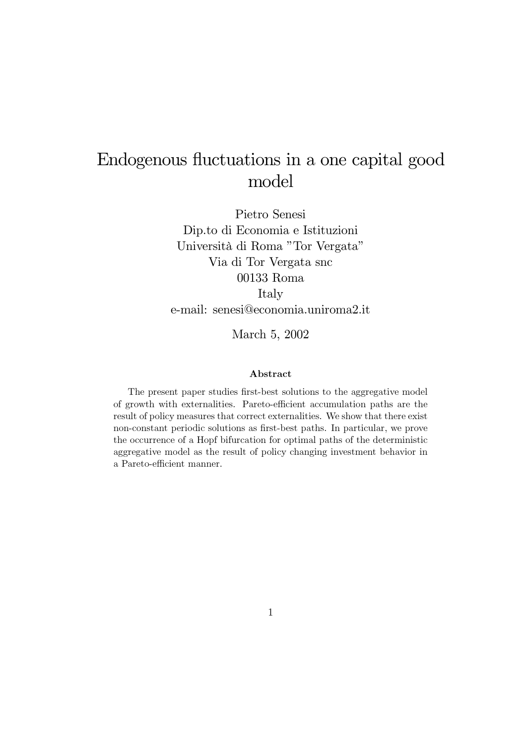# Endogenous fluctuations in a one capital good model

Pietro Senesi Dip.to di Economia e Istituzioni Università di Roma "Tor Vergata" Via di Tor Vergata snc 00133 Roma Italy e-mail: senesi@economia.uniroma2.it

March 5, 2002

#### Abstract

The present paper studies first-best solutions to the aggregative model of growth with externalities. Pareto-efficient accumulation paths are the result of policy measures that correct externalities. We show that there exist non-constant periodic solutions as first-best paths. In particular, we prove the occurrence of a Hopf bifurcation for optimal paths of the deterministic aggregative model as the result of policy changing investment behavior in a Pareto-efficient manner.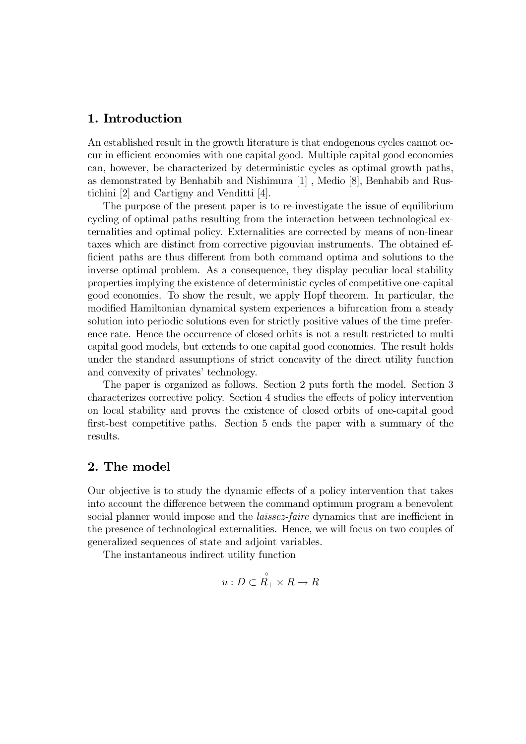#### 1. Introduction

An established result in the growth literature is that endogenous cycles cannot occur in efficient economies with one capital good. Multiple capital good economies can, however, be characterized by deterministic cycles as optimal growth paths, as demonstrated by Benhabib and Nishimura [1] , Medio [8], Benhabib and Rustichini [2] and Cartigny and Venditti [4].

The purpose of the present paper is to re-investigate the issue of equilibrium cycling of optimal paths resulting from the interaction between technological externalities and optimal policy. Externalities are corrected by means of non-linear taxes which are distinct from corrective pigouvian instruments. The obtained efficient paths are thus different from both command optima and solutions to the inverse optimal problem. As a consequence, they display peculiar local stability properties implying the existence of deterministic cycles of competitive one-capital good economies. To show the result, we apply Hopf theorem. In particular, the modified Hamiltonian dynamical system experiences a bifurcation from a steady solution into periodic solutions even for strictly positive values of the time preference rate. Hence the occurrence of closed orbits is not a result restricted to multi capital good models, but extends to one capital good economies. The result holds under the standard assumptions of strict concavity of the direct utility function and convexity of privates' technology.

The paper is organized as follows. Section 2 puts forth the model. Section 3 characterizes corrective policy. Section 4 studies the effects of policy intervention on local stability and proves the existence of closed orbits of one-capital good first-best competitive paths. Section 5 ends the paper with a summary of the results.

## 2. The model

Our objective is to study the dynamic effects of a policy intervention that takes into account the difference between the command optimum program a benevolent social planner would impose and the *laissez-faire* dynamics that are inefficient in the presence of technological externalities. Hence, we will focus on two couples of generalized sequences of state and adjoint variables.

The instantaneous indirect utility function

$$
u: D \subset \overset{\circ}{R_+} \times R \to R
$$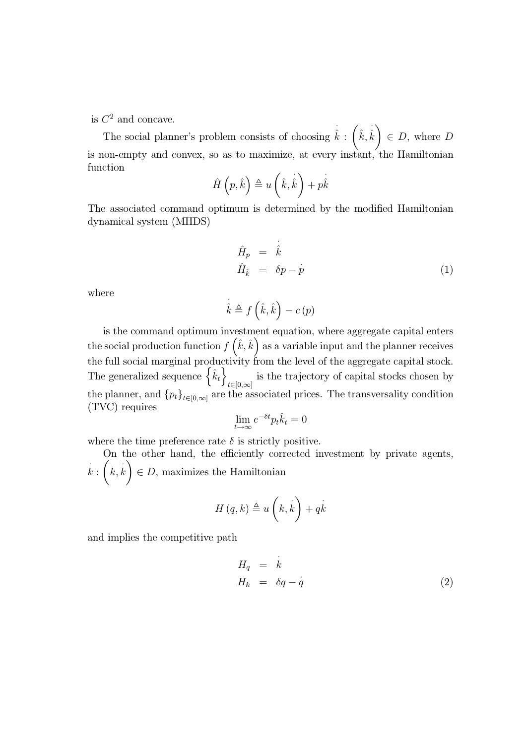is  $C^2$  and concave.

The social planner's problem consists of choosing ·  $\hat{\hat{k}}$  :  $\Big(\hat{k},$ ·  $\hat{k}$   $\in$  *D*, where *D* is non-empty and convex, so as to maximize, at every instant, the Hamiltonian function · ·

$$
\hat{H}\left(p,\hat{k}\right) \triangleq u\left(\hat{k},\hat{\hat{k}}\right) + p\hat{\hat{k}}
$$

The associated command optimum is determined by the modified Hamiltonian dynamical system (MHDS)

$$
\hat{H}_p = \dot{\hat{k}} \n\hat{H}_{\hat{k}} = \delta p - \dot{p}
$$
\n(1)

where

$$
\dot{\hat{k}} \triangleq f\left(\hat{k}, \hat{k}\right) - c\left(p\right)
$$

is the command optimum investment equation, where aggregate capital enters the social production function  $f\left(\hat{k}, \hat{k}\right)$  as a variable input and the planner receives the full social marginal productivity from the level of the aggregate capital stock. The generalized sequence  $\{\hat{k}_t\}$ is the trajectory of capital stocks chosen by  $t \in [0,\infty]$ the planner, and  ${p_t}_{t\in[0,\infty]}$  are the associated prices. The transversality condition (TVC) requires

$$
\lim_{t \to \infty} e^{-\delta t} p_t \hat{k}_t = 0
$$

where the time preference rate  $\delta$  is strictly positive.

On the other hand, the efficiently corrected investment by private agents,  $k : (k, k) \in D$ , maximizes the Hamiltonian

$$
H(q,k) \triangleq u\left(k,k\right) + qk
$$

and implies the competitive path

$$
H_q = k \nH_k = \delta q - \dot{q}
$$
\n(2)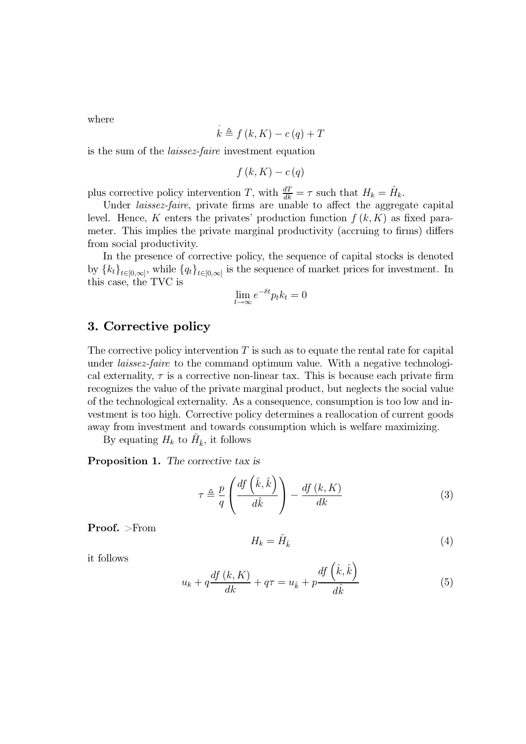where

$$
k \triangleq f(k, K) - c(q) + T
$$

is the sum of the *laissez-faire* investment equation

$$
f(k,K) - c(q)
$$

plus corrective policy intervention T, with  $\frac{dT}{dk} = \tau$  such that  $H_k = \hat{H}_k$ .

Under *laissez-faire*, private firms are unable to affect the aggregate capital level. Hence, K enters the privates' production function  $f(k,K)$  as fixed parameter. This implies the private marginal productivity (accruing to firms) differs from social productivity.

In the presence of corrective policy, the sequence of capital stocks is denoted by  ${k_t}_{t\in[0,\infty]}$ , while  ${q_t}_{t\in[0,\infty]}$  is the sequence of market prices for investment. In this case, the TVC is

$$
\lim_{t \to \infty} e^{-\delta t} p_t k_t = 0
$$

#### 3. Corrective policy

The corrective policy intervention  $T$  is such as to equate the rental rate for capital under *laissez-faire* to the command optimum value. With a negative technological externality,  $\tau$  is a corrective non-linear tax. This is because each private firm recognizes the value of the private marginal product, but neglects the social value of the technological externality. As a consequence, consumption is too low and investment is too high. Corrective policy determines a reallocation of current goods away from investment and towards consumption which is welfare maximizing.

By equating  $H_k$  to  $\hat{H}_{\hat{k}}$ , it follows

Proposition 1. The corrective tax is

$$
\tau \triangleq \frac{p}{q} \left( \frac{df\left(\hat{k}, \hat{k}\right)}{d\hat{k}} \right) - \frac{df\left(k, K\right)}{dk} \tag{3}
$$

Proof. >From

$$
H_k = \hat{H}_{\hat{k}} \tag{4}
$$

it follows

$$
u_k + q\frac{df\left(k, K\right)}{dk} + q\tau = u_{\hat{k}} + p\frac{df\left(\hat{k}, \hat{k}\right)}{d\hat{k}}\tag{5}
$$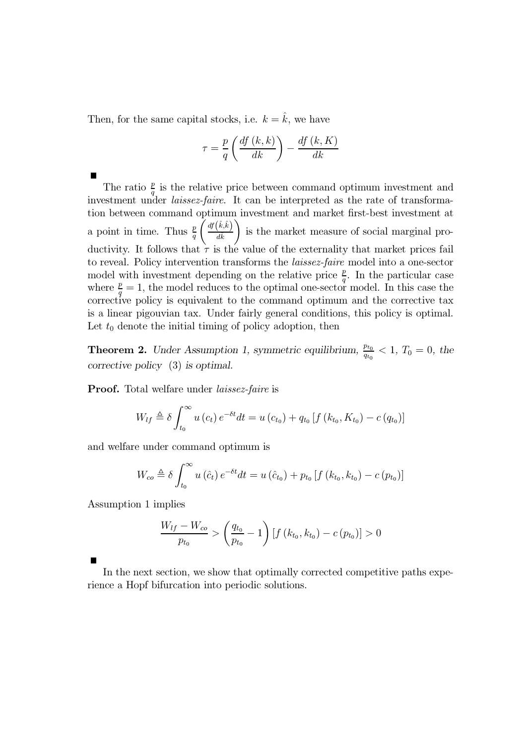Then, for the same capital stocks, i.e.  $k = \hat{k}$ , we have

$$
\tau = \frac{p}{q} \left( \frac{df (k, k)}{dk} \right) - \frac{df (k, K)}{dk}
$$

The ratio  $\frac{p}{q}$  is the relative price between command optimum investment and investment under *laissez-faire*. It can be interpreted as the rate of transformation between command optimum investment and market first-best investment at a point in time. Thus  $\frac{p}{q} \left( \frac{df(\hat{k}, \hat{k})}{d\hat{k}} \right)$  $d\hat{k}$ - is the market measure of social marginal productivity. It follows that  $\tau$  is the value of the externality that market prices fail to reveal. Policy intervention transforms the laissez-faire model into a one-sector model with investment depending on the relative price  $\frac{p}{q}$ . In the particular case where  $\frac{p}{q} = 1$ , the model reduces to the optimal one-sector model. In this case the corrective policy is equivalent to the command optimum and the corrective tax is a linear pigouvian tax. Under fairly general conditions, this policy is optimal. Let  $t_0$  denote the initial timing of policy adoption, then

**Theorem 2.** Under Assumption 1, symmetric equilibrium,  $\frac{p_{t_0}}{q_{t_0}} < 1$ ,  $T_0 = 0$ , the corrective policy (3) is optimal.

**Proof.** Total welfare under *laissez-faire* is

$$
W_{lf} \triangleq \delta \int_{t_0}^{\infty} u(c_t) e^{-\delta t} dt = u(c_{t_0}) + q_{t_0} [f(k_{t_0}, K_{t_0}) - c(q_{t_0})]
$$

and welfare under command optimum is

$$
W_{co} \triangleq \delta \int_{t_0}^{\infty} u(\hat{c}_t) e^{-\delta t} dt = u(\hat{c}_{t_0}) + p_{t_0} [f(k_{t_0}, k_{t_0}) - c(p_{t_0})]
$$

Assumption 1 implies

$$
\frac{W_{lf} - W_{co}}{p_{t_0}} > \left(\frac{q_{t_0}}{p_{t_0}} - 1\right) \left[f\left(k_{t_0}, k_{t_0}\right) - c\left(p_{t_0}\right)\right] > 0
$$

In the next section, we show that optimally corrected competitive paths experience a Hopf bifurcation into periodic solutions.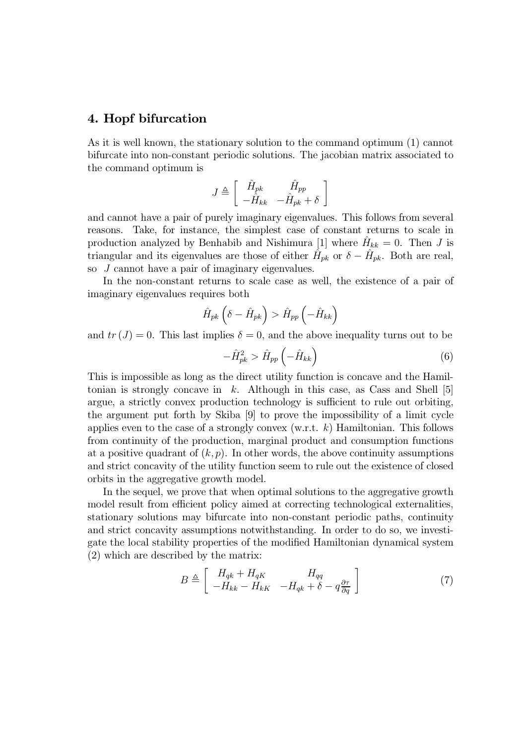#### 4. Hopf bifurcation

As it is well known, the stationary solution to the command optimum (1) cannot bifurcate into non-constant periodic solutions. The jacobian matrix associated to the command optimum is

$$
J \triangleq \left[ \begin{array}{cc} \hat{H}_{pk} & \hat{H}_{pp} \\ -\hat{H}_{kk} & -\hat{H}_{pk} + \delta \end{array} \right]
$$

and cannot have a pair of purely imaginary eigenvalues. This follows from several reasons. Take, for instance, the simplest case of constant returns to scale in production analyzed by Benhabib and Nishimura [1] where  $H_{kk} = 0$ . Then J is triangular and its eigenvalues are those of either  $H_{pk}$  or  $\delta - H_{pk}$ . Both are real, so J cannot have a pair of imaginary eigenvalues.

In the non-constant returns to scale case as well, the existence of a pair of imaginary eigenvalues requires both

$$
\hat{H}_{pk}\left(\delta-\hat{H}_{pk}\right) > \hat{H}_{pp}\left(-\hat{H}_{kk}\right)
$$

and  $tr(J)=0$ . This last implies  $\delta = 0$ , and the above inequality turns out to be

$$
-\hat{H}_{pk}^{2} > \hat{H}_{pp}\left(-\hat{H}_{kk}\right)
$$
\n(6)

This is impossible as long as the direct utility function is concave and the Hamiltonian is strongly concave in  $k$ . Although in this case, as Cass and Shell [5] argue, a strictly convex production technology is sufficient to rule out orbiting, the argument put forth by Skiba [9] to prove the impossibility of a limit cycle applies even to the case of a strongly convex  $(w.r.t. k)$  Hamiltonian. This follows from continuity of the production, marginal product and consumption functions at a positive quadrant of  $(k, p)$ . In other words, the above continuity assumptions and strict concavity of the utility function seem to rule out the existence of closed orbits in the aggregative growth model.

In the sequel, we prove that when optimal solutions to the aggregative growth model result from efficient policy aimed at correcting technological externalities, stationary solutions may bifurcate into non-constant periodic paths, continuity and strict concavity assumptions notwithstanding. In order to do so, we investigate the local stability properties of the modified Hamiltonian dynamical system (2) which are described by the matrix:

$$
B \triangleq \left[ \begin{array}{cc} H_{qk} + H_{qK} & H_{qq} \\ -H_{kk} - H_{kK} & -H_{qk} + \delta - q\frac{\partial \tau}{\partial q} \end{array} \right] \tag{7}
$$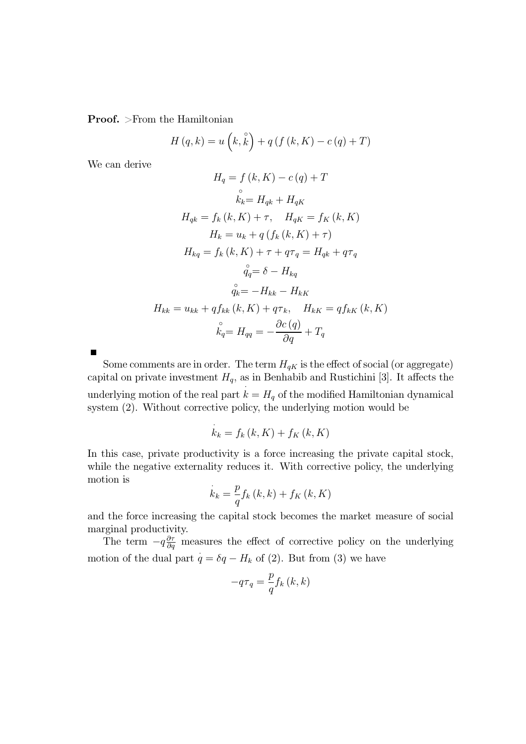Proof. >From the Hamiltonian

$$
H(q,k) = u\left(k, \hat{k}\right) + q\left(f\left(k, K\right) - c\left(q\right) + T\right)
$$

We can derive

$$
H_q = f(k, K) - c(q) + T
$$
  
\n
$$
\stackrel{\circ}{k_k} = H_{qk} + H_{qK}
$$
  
\n
$$
H_{qk} = f_k(k, K) + \tau, \quad H_{qK} = f_K(k, K)
$$
  
\n
$$
H_k = u_k + q(f_k(k, K) + \tau)
$$
  
\n
$$
H_{kq} = f_k(k, K) + \tau + q\tau_q = H_{qk} + q\tau_q
$$
  
\n
$$
\stackrel{\circ}{q_q} = \delta - H_{kq}
$$
  
\n
$$
\stackrel{\circ}{q_k} = -H_{kk} - H_{kK}
$$
  
\n
$$
H_{kk} = u_{kk} + qf_{kk}(k, K) + q\tau_k, \quad H_{kK} = qf_{kK}(k, K)
$$
  
\n
$$
\stackrel{\circ}{k_q} = H_{qq} = -\frac{\partial c(q)}{\partial q} + T_q
$$

Some comments are in order. The term  $H_{qK}$  is the effect of social (or aggregate) capital on private investment  $H_q$ , as in Benhabib and Rustichini [3]. It affects the underlying motion of the real part  $k = H_q$  of the modified Hamiltonian dynamical system (2). Without corrective policy, the underlying motion would be

$$
\dot{k}_k = f_k(k, K) + f_K(k, K)
$$

In this case, private productivity is a force increasing the private capital stock, while the negative externality reduces it. With corrective policy, the underlying motion is

$$
\dot{k}_{k} = \frac{p}{q} f_{k} \left( k, k \right) + f_{K} \left( k, K \right)
$$

and the force increasing the capital stock becomes the market measure of social marginal productivity.

The term  $-q\frac{\partial \tau}{\partial q}$  measures the effect of corrective policy on the underlying motion of the dual part  $q = \delta q - H_k$  of (2). But from (3) we have

$$
-q\tau_{q} = \frac{p}{q} f_{k} \left( k, k \right)
$$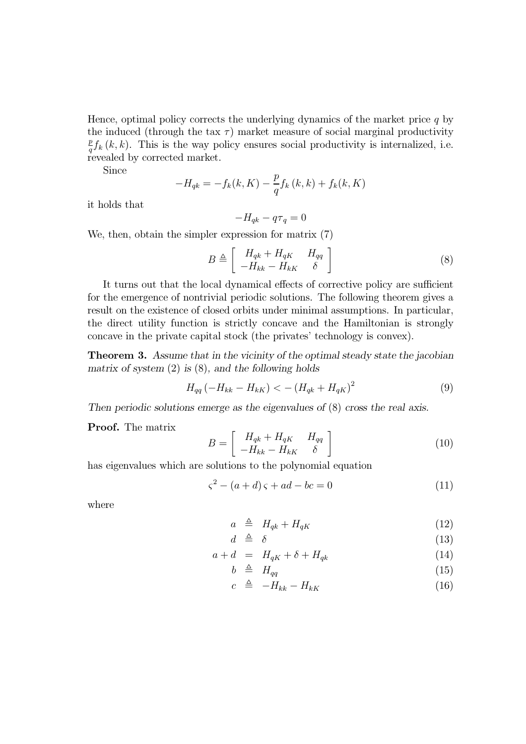Hence, optimal policy corrects the underlying dynamics of the market price  $q$  by the induced (through the tax  $\tau$ ) market measure of social marginal productivity  $\frac{p}{q} f_k(k, k)$ . This is the way policy ensures social productivity is internalized, i.e. revealed by corrected market.

Since

$$
-H_{qk} = -f_k(k, K) - \frac{p}{q} f_k(k, k) + f_k(k, K)
$$

it holds that

$$
-H_{qk} - q\tau_q = 0
$$

We, then, obtain the simpler expression for matrix (7)

$$
B \triangleq \left[ \begin{array}{cc} H_{qk} + H_{qK} & H_{qq} \\ -H_{kk} - H_{kK} & \delta \end{array} \right] \tag{8}
$$

It turns out that the local dynamical effects of corrective policy are sufficient for the emergence of nontrivial periodic solutions. The following theorem gives a result on the existence of closed orbits under minimal assumptions. In particular, the direct utility function is strictly concave and the Hamiltonian is strongly concave in the private capital stock (the privates' technology is convex).

Theorem 3. Assume that in the vicinity of the optimal steady state the jacobian matrix of system  $(2)$  is  $(8)$ , and the following holds

$$
H_{qq}(-H_{kk} - H_{kK}) < - (H_{qk} + H_{qK})^2
$$
\n(9)

Then periodic solutions emerge as the eigenvalues of (8) cross the real axis.

Proof. The matrix

$$
B = \left[ \begin{array}{cc} H_{qk} + H_{qK} & H_{qq} \\ -H_{kk} - H_{kK} & \delta \end{array} \right] \tag{10}
$$

has eigenvalues which are solutions to the polynomial equation

$$
\varsigma^2 - (a+d)\,\varsigma + ad - bc = 0\tag{11}
$$

where

$$
a \triangleq H_{qk} + H_{qK} \tag{12}
$$

$$
d \triangleq \delta \tag{13}
$$

$$
a + d = H_{qK} + \delta + H_{qk} \tag{14}
$$

$$
b \triangleq H_{qq} \tag{15}
$$

$$
c \triangleq -H_{kk} - H_{kK} \tag{16}
$$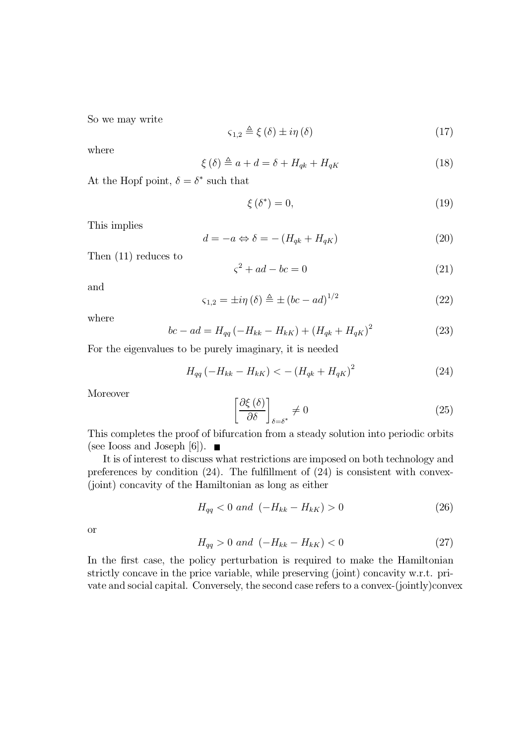So we may write

$$
\varsigma_{1,2} \triangleq \xi(\delta) \pm i\eta(\delta) \tag{17}
$$

where

$$
\xi(\delta) \triangleq a + d = \delta + H_{qk} + H_{qK} \tag{18}
$$

At the Hopf point,  $\delta = \delta^*$  such that

$$
\xi(\delta^*) = 0,\tag{19}
$$

This implies

$$
d = -a \Leftrightarrow \delta = -\left(H_{qk} + H_{qK}\right) \tag{20}
$$

Then (11) reduces to

$$
\zeta^2 + ad - bc = 0\tag{21}
$$

and

$$
\varsigma_{1,2} = \pm i\eta \left(\delta\right) \triangleq \pm \left(bc - ad\right)^{1/2} \tag{22}
$$

where

$$
bc - ad = H_{qq}(-H_{kk} - H_{kK}) + (H_{qk} + H_{qK})^2
$$
\n(23)

For the eigenvalues to be purely imaginary, it is needed

$$
H_{qq}(-H_{kk} - H_{kK}) < - (H_{qk} + H_{qK})^2
$$
\n(24)

Moreover

$$
\left[\frac{\partial \xi\left(\delta\right)}{\partial \delta}\right]_{\delta=\delta^*} \neq 0\tag{25}
$$

This completes the proof of bifurcation from a steady solution into periodic orbits (see Iooss and Joseph [6]).  $\blacksquare$ 

It is of interest to discuss what restrictions are imposed on both technology and preferences by condition (24). The fulfillment of (24) is consistent with convex- (joint) concavity of the Hamiltonian as long as either

$$
H_{qq} < 0 \text{ and } \left( -H_{kk} - H_{k} \right) > 0 \tag{26}
$$

or

$$
H_{qq} > 0 \text{ and } (-H_{kk} - H_{kK}) < 0 \tag{27}
$$

In the first case, the policy perturbation is required to make the Hamiltonian strictly concave in the price variable, while preserving (joint) concavity w.r.t. private and social capital. Conversely, the second case refers to a convex-(jointly)convex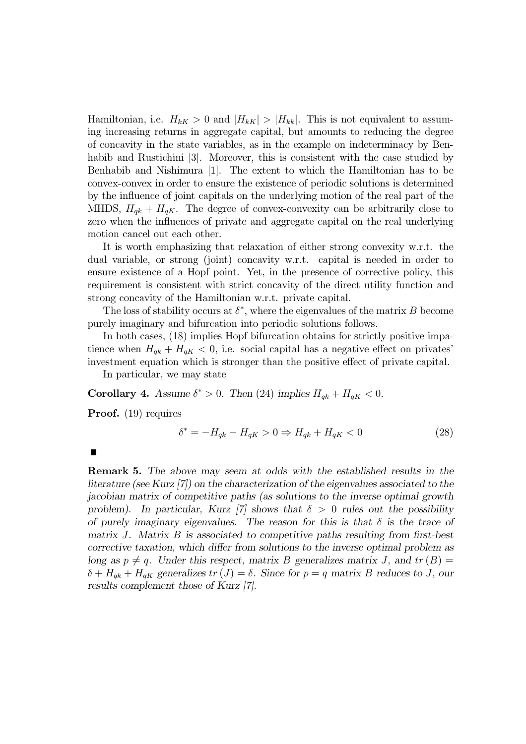Hamiltonian, i.e.  $H_{kK} > 0$  and  $|H_{kK}| > |H_{kk}|$ . This is not equivalent to assuming increasing returns in aggregate capital, but amounts to reducing the degree of concavity in the state variables, as in the example on indeterminacy by Benhabib and Rustichini [3]. Moreover, this is consistent with the case studied by Benhabib and Nishimura [1]. The extent to which the Hamiltonian has to be convex-convex in order to ensure the existence of periodic solutions is determined by the influence of joint capitals on the underlying motion of the real part of the MHDS,  $H_{ak} + H_{qK}$ . The degree of convex-convexity can be arbitrarily close to zero when the influences of private and aggregate capital on the real underlying motion cancel out each other.

It is worth emphasizing that relaxation of either strong convexity w.r.t. the dual variable, or strong (joint) concavity w.r.t. capital is needed in order to ensure existence of a Hopf point. Yet, in the presence of corrective policy, this requirement is consistent with strict concavity of the direct utility function and strong concavity of the Hamiltonian w.r.t. private capital.

The loss of stability occurs at  $\delta^*$ , where the eigenvalues of the matrix B become purely imaginary and bifurcation into periodic solutions follows.

In both cases, (18) implies Hopf bifurcation obtains for strictly positive impatience when  $H_{qk} + H_{qK} < 0$ , i.e. social capital has a negative effect on privates' investment equation which is stronger than the positive effect of private capital.

In particular, we may state

Corollary 4. Assume  $\delta^* > 0$ . Then (24) implies  $H_{qk} + H_{qK} < 0$ .

Proof. (19) requires

$$
\delta^* = -H_{qk} - H_{qK} > 0 \Rightarrow H_{qk} + H_{qK} < 0 \tag{28}
$$

 $\blacksquare$ 

Remark 5. The above may seem at odds with the established results in the literature (see Kurz [7]) on the characterization of the eigenvalues associated to the jacobian matrix of competitive paths (as solutions to the inverse optimal growth problem). In particular, Kurz [7] shows that  $\delta > 0$  rules out the possibility of purely imaginary eigenvalues. The reason for this is that  $\delta$  is the trace of matrix J. Matrix B is associated to competitive paths resulting from first-best corrective taxation, which differ from solutions to the inverse optimal problem as long as  $p \neq q$ . Under this respect, matrix B generalizes matrix J, and  $tr(B)$  =  $\delta + H_{qk} + H_{qK}$  generalizes  $tr(J) = \delta$ . Since for  $p = q$  matrix B reduces to J, our results complement those of Kurz [7].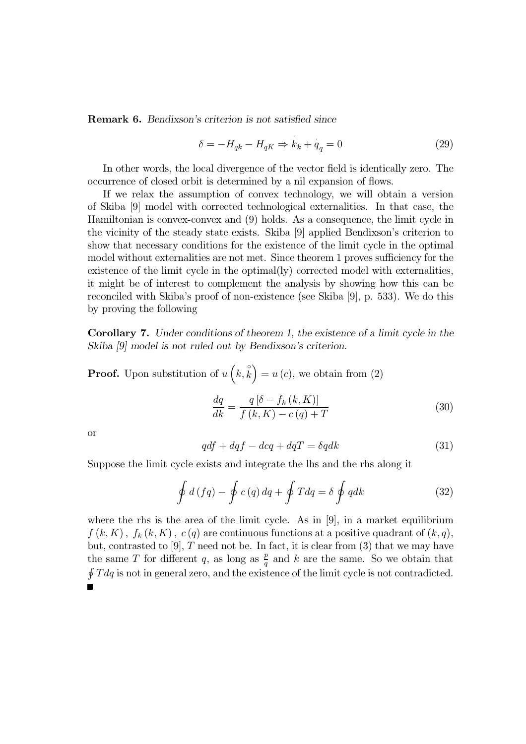Remark 6. Bendixson's criterion is not satisfied since

$$
\delta = -H_{qk} - H_{qK} \Rightarrow k_k + q_q = 0 \tag{29}
$$

In other words, the local divergence of the vector field is identically zero. The occurrence of closed orbit is determined by a nil expansion of flows.

If we relax the assumption of convex technology, we will obtain a version of Skiba [9] model with corrected technological externalities. In that case, the Hamiltonian is convex-convex and (9) holds. As a consequence, the limit cycle in the vicinity of the steady state exists. Skiba [9] applied Bendixson's criterion to show that necessary conditions for the existence of the limit cycle in the optimal model without externalities are not met. Since theorem 1 proves sufficiency for the existence of the limit cycle in the optimal(ly) corrected model with externalities, it might be of interest to complement the analysis by showing how this can be reconciled with Skiba's proof of non-existence (see Skiba [9], p. 533). We do this by proving the following

Corollary 7. Under conditions of theorem 1, the existence of a limit cycle in the Skiba [9] model is not ruled out by Bendixson's criterion.

**Proof.** Upon substitution of  $u\left(k, \hat{k}\right) = u(c)$ , we obtain from (2)

$$
\frac{dq}{dk} = \frac{q\left[\delta - f_k\left(k, K\right)\right]}{f\left(k, K\right) - c\left(q\right) + T} \tag{30}
$$

or

$$
qdf + dqf - dcq + dqT = \delta qdk \tag{31}
$$

Suppose the limit cycle exists and integrate the lhs and the rhs along it

$$
\oint d(fq) - \oint c(q) dq + \oint Tdq = \delta \oint qdk
$$
\n(32)

where the rhs is the area of the limit cycle. As in [9], in a market equilibrium  $f(k, K)$ ,  $f_k(k, K)$ ,  $c(q)$  are continuous functions at a positive quadrant of  $(k, q)$ , but, contrasted to  $[9]$ ,  $T$  need not be. In fact, it is clear from  $(3)$  that we may have the same T for different q, as long as  $\frac{p}{q}$  and k are the same. So we obtain that  $\oint T dq$  is not in general zero, and the existence of the limit cycle is not contradicted. п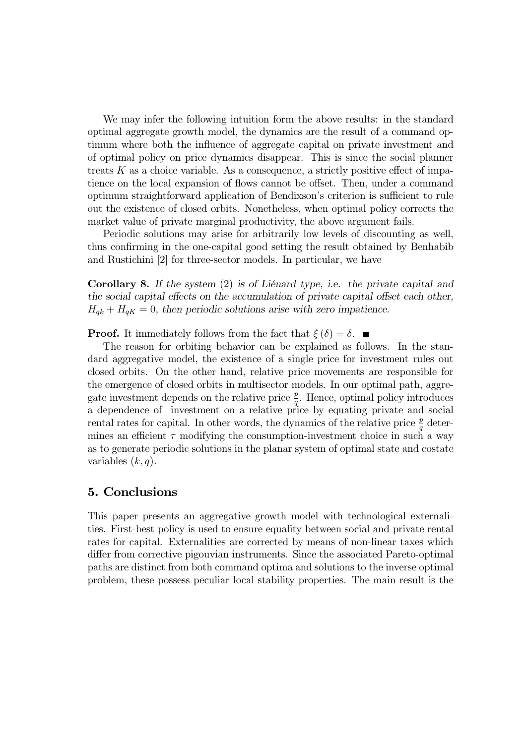We may infer the following intuition form the above results: in the standard optimal aggregate growth model, the dynamics are the result of a command optimum where both the influence of aggregate capital on private investment and of optimal policy on price dynamics disappear. This is since the social planner treats  $K$  as a choice variable. As a consequence, a strictly positive effect of impatience on the local expansion of flows cannot be offset. Then, under a command optimum straightforward application of Bendixson's criterion is sufficient to rule out the existence of closed orbits. Nonetheless, when optimal policy corrects the market value of private marginal productivity, the above argument fails.

Periodic solutions may arise for arbitrarily low levels of discounting as well, thus confirming in the one-capital good setting the result obtained by Benhabib and Rustichini [2] for three-sector models. In particular, we have

Corollary 8. If the system (2) is of Liénard type, i.e. the private capital and the social capital effects on the accumulation of private capital offset each other,  $H_{qk} + H_{qK} = 0$ , then periodic solutions arise with zero impatience.

**Proof.** It immediately follows from the fact that  $\xi(\delta) = \delta$ .

The reason for orbiting behavior can be explained as follows. In the standard aggregative model, the existence of a single price for investment rules out closed orbits. On the other hand, relative price movements are responsible for the emergence of closed orbits in multisector models. In our optimal path, aggregate investment depends on the relative price  $\frac{p}{q}$ . Hence, optimal policy introduces a dependence of investment on a relative price by equating private and social rental rates for capital. In other words, the dynamics of the relative price  $\frac{p}{q}$  determines an efficient  $\tau$  modifying the consumption-investment choice in such a way as to generate periodic solutions in the planar system of optimal state and costate variables  $(k, q)$ .

# 5. Conclusions

This paper presents an aggregative growth model with technological externalities. First-best policy is used to ensure equality between social and private rental rates for capital. Externalities are corrected by means of non-linear taxes which differ from corrective pigouvian instruments. Since the associated Pareto-optimal paths are distinct from both command optima and solutions to the inverse optimal problem, these possess peculiar local stability properties. The main result is the